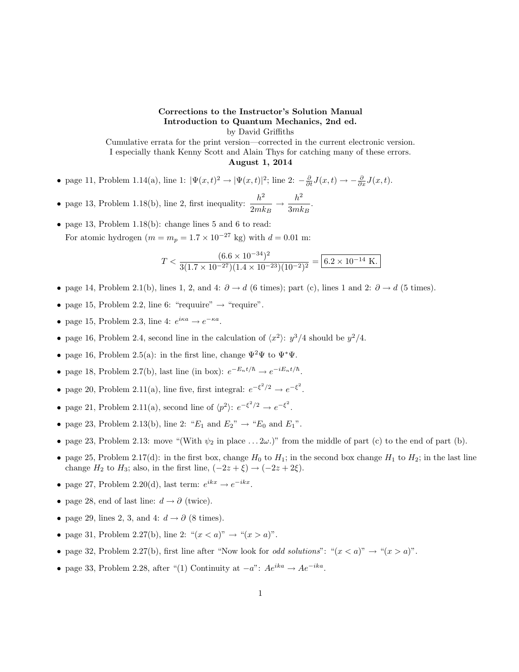## Corrections to the Instructor's Solution Manual Introduction to Quantum Mechanics, 2nd ed. by David Griffiths

Cumulative errata for the print version—corrected in the current electronic version. I especially thank Kenny Scott and Alain Thys for catching many of these errors. August 1, 2014

- page 11, Problem 1.14(a), line 1:  $|\Psi(x,t)^2 \to |\Psi(x,t)|^2$ ; line 2:  $-\frac{\partial}{\partial t}J(x,t) \to -\frac{\partial}{\partial x}J(x,t)$ .
- page 13, Problem 1.18(b), line 2, first inequality:  $\frac{h^2}{2}$  $\frac{h^2}{2mk_B} \rightarrow \frac{h^2}{3mk}$  $\frac{n}{3mk_B}$ .
- page 13, Problem 1.18(b): change lines 5 and 6 to read: For atomic hydrogen ( $m = m_p = 1.7 \times 10^{-27}$  kg) with  $d = 0.01$  m:

$$
T < \frac{(6.6 \times 10^{-34})^2}{3(1.7 \times 10^{-27})(1.4 \times 10^{-23})(10^{-2})^2} = \boxed{6.2 \times 10^{-14} \text{ K}}.
$$

- page 14, Problem 2.1(b), lines 1, 2, and 4:  $\partial \to d$  (6 times); part (c), lines 1 and 2:  $\partial \to d$  (5 times).
- page 15, Problem 2.2, line 6: "requuire"  $\rightarrow$  "require".
- page 15, Problem 2.3, line 4:  $e^{i\kappa a} \rightarrow e^{-\kappa a}$ .
- page 16, Problem 2.4, second line in the calculation of  $\langle x^2 \rangle$ :  $y^3/4$  should be  $y^2/4$ .
- page 16, Problem 2.5(a): in the first line, change  $\Psi^2\Psi$  to  $\Psi^*\Psi$ .
- page 18, Problem 2.7(b), last line (in box):  $e^{-E_n t/\hbar} \rightarrow e^{-iE_n t/\hbar}$ .
- page 20, Problem 2.11(a), line five, first integral:  $e^{-\xi^2/2} \rightarrow e^{-\xi^2}$ .
- page 21, Problem 2.11(a), second line of  $\langle p^2 \rangle: e^{-\xi^2/2} \to e^{-\xi^2}$ .
- page 23, Problem 2.13(b), line 2: " $E_1$  and  $E_2$ "  $\rightarrow$  " $E_0$  and  $E_1$ ".
- page 23, Problem 2.13: move "(With  $\psi_2$  in place ...  $2\omega$ .)" from the middle of part (c) to the end of part (b).
- page 25, Problem 2.17(d): in the first box, change  $H_0$  to  $H_1$ ; in the second box change  $H_1$  to  $H_2$ ; in the last line change  $H_2$  to  $H_3$ ; also, in the first line,  $(-2z + \xi) \rightarrow (-2z + 2\xi)$ .
- page 27, Problem 2.20(d), last term:  $e^{ikx} \rightarrow e^{-ikx}$ .
- page 28, end of last line:  $d \rightarrow \partial$  (twice).
- page 29, lines 2, 3, and 4:  $d \rightarrow \partial$  (8 times).
- page 31, Problem 2.27(b), line 2: " $(x < a)$ " → " $(x > a)$ ".
- page 32, Problem 2.27(b), first line after "Now look for *odd solutions*": " $(x < a)$ "  $\rightarrow$  " $(x > a)$ ".
- page 33, Problem 2.28, after "(1) Continuity at  $-a$ ":  $Ae^{ika} \rightarrow Ae^{-ika}$ .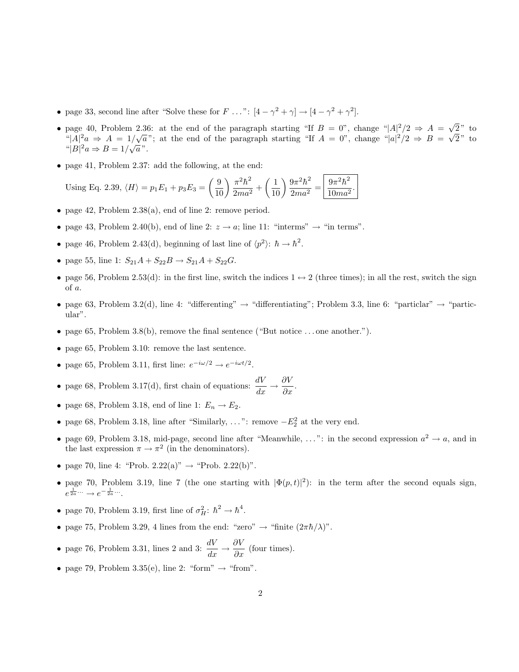- page 33, second line after "Solve these for  $F \dots$ ":  $[4 \gamma^2 + \gamma] \rightarrow [4 \gamma^2 + \gamma^2]$ .
- page 40, Problem 2.36: at the end of the paragraph starting "If  $B = 0$ ", change " $|A|^2/2 \Rightarrow A = \sqrt{2}$  $2"$  to page 40, Problem 2.36: at the end of the paragraph starting "If  $B = 0$ ", change " $|A|^2/2 \Rightarrow A = \sqrt{2}$ "<br>" $|A|^2 a \Rightarrow A = 1/\sqrt{a}$ "; at the end of the paragraph starting "If  $A = 0$ ", change " $|a|^2/2 \Rightarrow B = \sqrt{2}$  $1/\sqrt{a}$ "; at the end of the paragraph starting "If  $A = 0$ ", change "|a|<sup>2</sup>/2  $\Rightarrow$   $B = \sqrt{2}$ " to " $|B|^2 a \Rightarrow B = 1/\sqrt{a}$ ".
- page 41, Problem 2.37: add the following, at the end:

Using Eq. 2.39,  $\langle H \rangle = p_1 E_1 + p_3 E_3 = \left(\frac{9}{10}\right) \frac{\pi^2 \hbar^2}{2ma^2}$  $rac{\pi^2\hbar^2}{2ma^2} + \left(\frac{1}{10}\right)\frac{9\pi^2\hbar^2}{2ma^2}$  $\frac{9\pi^2\hbar^2}{2ma^2} = \left|\frac{9\pi^2\hbar^2}{10ma^2}\right|$  $\frac{6n}{10ma^2}$ 

- page 42, Problem 2.38(a), end of line 2: remove period.
- page 43, Problem 2.40(b), end of line 2:  $z \to a$ ; line 11: "interms"  $\to$  "in terms".
- page 46, Problem 2.43(d), beginning of last line of  $\langle p^2 \rangle$ :  $\hbar \to \hbar^2$ .
- page 55, line 1:  $S_{21}A + S_{22}B \rightarrow S_{21}A + S_{22}G$ .
- page 56, Problem 2.53(d): in the first line, switch the indices  $1 \leftrightarrow 2$  (three times); in all the rest, switch the sign of a.
- page 63, Problem 3.2(d), line 4: "differenting"  $\rightarrow$  "differentiating"; Problem 3.3, line 6: "particlar"  $\rightarrow$  "particular".
- page 65, Problem 3.8(b), remove the final sentence ("But notice ... one another.").
- page 65, Problem 3.10: remove the last sentence.
- page 65, Problem 3.11, first line:  $e^{-i\omega/2} \rightarrow e^{-i\omega t/2}$ .

• page 68, Problem 3.17(d), first chain of equations: 
$$
\frac{dV}{dx} \to \frac{\partial V}{\partial x}.
$$

- page 68, Problem 3.18, end of line 1:  $E_n \to E_2$ .
- page 68, Problem 3.18, line after "Similarly, ...": remove  $-E_2^2$  at the very end.
- page 69, Problem 3.18, mid-page, second line after "Meanwhile, ...": in the second expression  $a^2 \to a$ , and in the last expression  $\pi \to \pi^2$  (in the denominators).
- page 70, line 4: "Prob.  $2.22(a)$ "  $\rightarrow$  "Prob.  $2.22(b)$ ".
- page 70, Problem 3.19, line 7 (the one starting with  $|\Phi(p,t)|^2$ ): in the term after the second equals sign,  $e^{\frac{1}{2a}\cdots} \rightarrow e^{-\frac{1}{2a}\cdots}$ .
- page 70, Problem 3.19, first line of  $\sigma_H^2$ :  $\hbar^2 \rightarrow \hbar^4$ .
- page 75, Problem 3.29, 4 lines from the end: "zero"  $\rightarrow$  "finite  $(2\pi\hbar/\lambda)$ ".
- page 76, Problem 3.31, lines 2 and 3:  $\frac{dV}{dx} \to \frac{\partial V}{\partial x}$  (four times).
- page 79, Problem 3.35(e), line 2: "form"  $\rightarrow$  "from".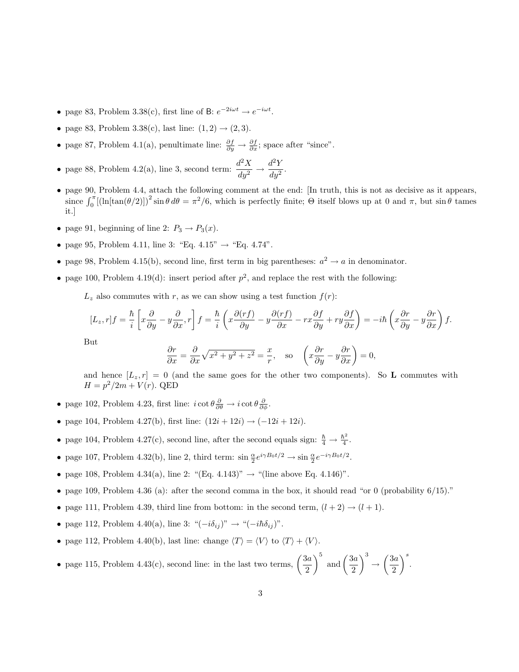- page 83, Problem 3.38(c), first line of B:  $e^{-2i\omega t} \rightarrow e^{-i\omega t}$ .
- page 83, Problem 3.38(c), last line:  $(1, 2) \rightarrow (2, 3)$ .
- page 87, Problem 4.1(a), penultimate line:  $\frac{\partial f}{\partial y} \to \frac{\partial f}{\partial x}$ ; space after "since".
- page 88, Problem 4.2(a), line 3, second term:  $\frac{d^2X}{dy^2} \rightarrow \frac{d^2Y}{dy^2}$  $rac{d^2y^2}{dy^2}$ .
- page 90, Problem 4.4, attach the following comment at the end: [In truth, this is not as decisive as it appears, since  $\int_0^{\pi} [(\ln[\tan(\theta/2)])^2 \sin \theta d\theta = \pi^2/6$ , which is perfectly finite;  $\Theta$  itself blows up at 0 and  $\pi$ , but  $\sin \theta$  tames it.]
- page 91, beginning of line 2:  $P_3 \rightarrow P_3(x)$ .
- page 95, Problem 4.11, line 3: "Eq.  $4.15$ "  $\rightarrow$  "Eq.  $4.74$ ".
- page 98, Problem 4.15(b), second line, first term in big parentheses:  $a^2 \rightarrow a$  in denominator.
- page 100, Problem 4.19(d): insert period after  $p^2$ , and replace the rest with the following:

 $L_z$  also commutes with r, as we can show using a test function  $f(r)$ :

$$
[L_z, r]f = \frac{\hbar}{i} \left[ x \frac{\partial}{\partial y} - y \frac{\partial}{\partial x}, r \right] f = \frac{\hbar}{i} \left( x \frac{\partial (rf)}{\partial y} - y \frac{\partial (rf)}{\partial x} - rx \frac{\partial f}{\partial y} + ry \frac{\partial f}{\partial x} \right) = -i\hbar \left( x \frac{\partial r}{\partial y} - y \frac{\partial r}{\partial x} \right) f.
$$

But

$$
\frac{\partial r}{\partial x} = \frac{\partial}{\partial x} \sqrt{x^2 + y^2 + z^2} = \frac{x}{r}, \text{ so } \left( x \frac{\partial r}{\partial y} - y \frac{\partial r}{\partial x} \right) = 0,
$$

and hence  $[L_z, r] = 0$  (and the same goes for the other two components). So L commutes with  $H = p^2/2m + V(r)$ . QED

- page 102, Problem 4.23, first line:  $i \cot \theta \frac{\partial}{\partial \theta} \rightarrow i \cot \theta \frac{\partial}{\partial \phi}$ .
- page 104, Problem 4.27(b), first line:  $(12i + 12i) \rightarrow (-12i + 12i)$ .
- page 104, Problem 4.27(c), second line, after the second equals sign:  $\frac{\hbar}{4} \rightarrow \frac{\hbar^2}{4}$  $\frac{\imath^2}{4}$ .
- page 107, Problem 4.32(b), line 2, third term:  $\sin \frac{\alpha}{2} e^{i\gamma B_0 t/2} \rightarrow \sin \frac{\alpha}{2} e^{-i\gamma B_0 t/2}$ .
- page 108, Problem 4.34(a), line 2: "(Eq. 4.143)"  $\rightarrow$  "(line above Eq. 4.146)".
- page 109, Problem 4.36 (a): after the second comma in the box, it should read "or 0 (probability  $6/15$ )."
- page 111, Problem 4.39, third line from bottom: in the second term,  $(l + 2) \rightarrow (l + 1)$ .
- page 112, Problem 4.40(a), line 3: " $(-i\delta_{ij})$ " → " $(-i\hbar \delta_{ij})$ ".
- page 112, Problem 4.40(b), last line: change  $\langle T \rangle = \langle V \rangle$  to  $\langle T \rangle + \langle V \rangle$ .
- page 115, Problem 4.43(c), second line: in the last two terms,  $\left(\frac{3a}{2}\right)$ 2  $\int_{a}^{5}$  and  $\left(\frac{3a}{2}\right)$ 2  $\bigg\}^3 \rightarrow \bigg(\frac{3a}{2}\bigg)$ 2  $\Big)^s$ .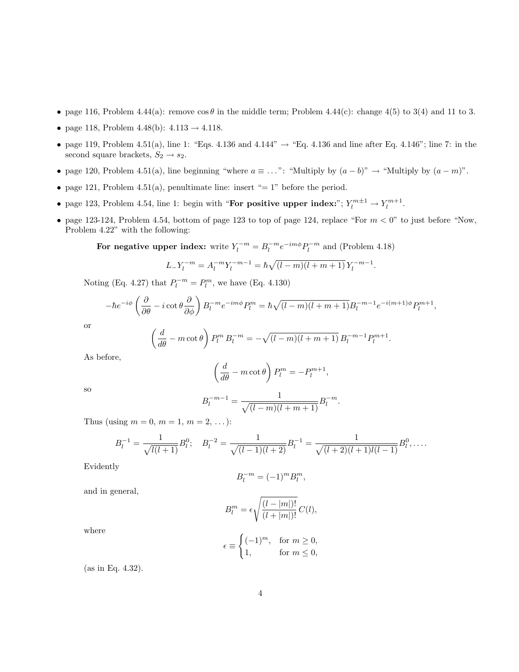- page 116, Problem 4.44(a): remove  $\cos \theta$  in the middle term; Problem 4.44(c): change 4(5) to 3(4) and 11 to 3.
- page 118, Problem 4.48(b):  $4.113 \rightarrow 4.118$ .
- page 119, Problem 4.51(a), line 1: "Eqs. 4.136 and 4.144"  $\rightarrow$  "Eq. 4.136 and line after Eq. 4.146"; line 7: in the second square brackets,  $S_2 \rightarrow s_2$ .
- page 120, Problem 4.51(a), line beginning "where  $a \equiv \ldots$ ": "Multiply by  $(a b)$ " → "Multiply by  $(a m)$ ".
- page 121, Problem 4.51(a), penultimate line: insert "= 1" before the period.
- page 123, Problem 4.54, line 1: begin with "For positive upper index:";  $Y_l^{m\pm 1} \to Y_l^{m+1}$ .
- page 123-124, Problem 4.54, bottom of page 123 to top of page 124, replace "For  $m < 0$ " to just before "Now, Problem 4.22" with the following:

For negative upper index: write  $Y_l^{-m} = B_l^{-m} e^{-im\phi} P_l^{-m}$  and (Problem 4.18)

$$
L_{-}Y_{l}^{-m} = A_{l}^{-m}Y_{l}^{-m-1} = \hbar \sqrt{(l-m)(l+m+1)} Y_{l}^{-m-1}.
$$

Noting (Eq. 4.27) that  $P_l^{-m} = P_l^m$ , we have (Eq. 4.130)

$$
-\hbar e^{-i\phi} \left(\frac{\partial}{\partial \theta} - i \cot \theta \frac{\partial}{\partial \phi}\right) B_l^{-m} e^{-im\phi} P_l^m = \hbar \sqrt{(l-m)(l+m+1)} B_l^{-m-1} e^{-i(m+1)\phi} P_l^{m+1},
$$

or

$$
\left(\frac{d}{d\theta} - m \cot \theta\right) P_l^m B_l^{-m} = -\sqrt{(l-m)(l+m+1)} B_l^{-m-1} P_l^{m+1}.
$$

As before,

$$
\left(\frac{d}{d\theta} - m\cot\theta\right)P_l^m = -P_l^{m+1},
$$

so

$$
B_l^{-m-1} = \frac{1}{\sqrt{(l-m)(l+m+1)}} B_l^{-m}.
$$

Thus (using  $m = 0, m = 1, m = 2, ...$ ):

$$
B_l^{-1} = \frac{1}{\sqrt{l(l+1)}} B_l^0; \quad B_l^{-2} = \frac{1}{\sqrt{(l-1)(l+2)}} B_l^{-1} = \frac{1}{\sqrt{(l+2)(l+1)l(l-1)}} B_l^0, \dots
$$

Evidently

$$
B_l^{-m} = (-1)^m B_l^m,
$$

and in general,

$$
B_l^m = \epsilon \sqrt{\frac{(l - |m|)!}{(l + |m|)!}} C(l),
$$

where

$$
\epsilon \equiv \begin{cases} (-1)^m, & \text{for } m \ge 0, \\ 1, & \text{for } m \le 0, \end{cases}
$$

(as in Eq. 4.32).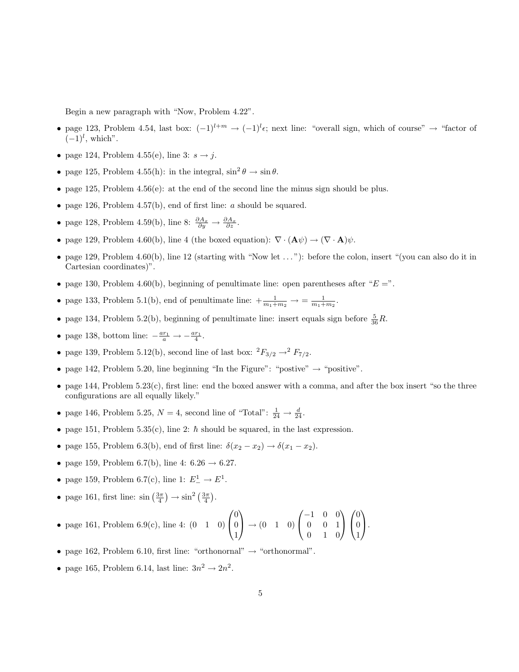Begin a new paragraph with "Now, Problem 4.22".

- page 123, Problem 4.54, last box:  $(-1)^{l+m} \rightarrow (-1)^{l} \epsilon$ ; next line: "overall sign, which of course"  $\rightarrow$  "factor of  $(-1)^l$ , which".
- page 124, Problem 4.55(e), line 3:  $s \rightarrow j$ .
- page 125, Problem 4.55(h): in the integral,  $\sin^2 \theta \to \sin \theta$ .
- page 125, Problem 4.56(e): at the end of the second line the minus sign should be plus.
- page 126, Problem 4.57(b), end of first line:  $a$  should be squared.
- page 128, Problem 4.59(b), line 8:  $\frac{\partial A_x}{\partial y} \to \frac{\partial A_x}{\partial z}$ .
- page 129, Problem 4.60(b), line 4 (the boxed equation):  $\nabla \cdot (\mathbf{A}\psi) \to (\nabla \cdot \mathbf{A})\psi$ .
- page 129, Problem 4.60(b), line 12 (starting with "Now let  $\dots$ "): before the colon, insert "(you can also do it in Cartesian coordinates)".
- page 130, Problem 4.60(b), beginning of penultimate line: open parentheses after " $E =$ ".
- page 133, Problem 5.1(b), end of penultimate line:  $+\frac{1}{m_1+m_2} \rightarrow \frac{1}{m_1+m_2}$ .
- page 134, Problem 5.2(b), beginning of penultimate line: insert equals sign before  $\frac{5}{36}R$ .
- page 138, bottom line:  $-\frac{ar_1}{a} \rightarrow -\frac{ar_1}{4}$ .
- page 139, Problem 5.12(b), second line of last box:  ${}^2F_{3/2} \rightarrow {}^2F_{7/2}$ .
- page 142, Problem 5.20, line beginning "In the Figure": "postive"  $\rightarrow$  "positive".
- page 144, Problem  $5.23(c)$ , first line: end the boxed answer with a comma, and after the box insert "so the three configurations are all equally likely."
- page 146, Problem 5.25,  $N = 4$ , second line of "Total":  $\frac{1}{24} \rightarrow \frac{d}{24}$ .
- page 151, Problem 5.35(c), line 2:  $\hbar$  should be squared, in the last expression.
- page 155, Problem 6.3(b), end of first line:  $\delta(x_2 x_2) \rightarrow \delta(x_1 x_2)$ .
- page 159, Problem 6.7(b), line 4:  $6.26 \rightarrow 6.27$ .
- page 159, Problem 6.7(c), line 1:  $E^1_-\to E^1$ .
- page 161, first line:  $\sin\left(\frac{3\pi}{4}\right) \rightarrow \sin^2\left(\frac{3\pi}{4}\right)$ .

• page 161, Problem 6.9(c), line 4: 
$$
(0 \quad 1 \quad 0)
$$
 $\begin{pmatrix} 0 \\ 0 \\ 1 \end{pmatrix} \rightarrow (0 \quad 1 \quad 0)$  $\begin{pmatrix} -1 & 0 & 0 \\ 0 & 0 & 1 \\ 0 & 1 & 0 \end{pmatrix} \begin{pmatrix} 0 \\ 0 \\ 1 \end{pmatrix}$ .

- page 162, Problem 6.10, first line: "orthonormal"  $\rightarrow$  "orthonormal".
- page 165, Problem 6.14, last line:  $3n^2 \rightarrow 2n^2$ .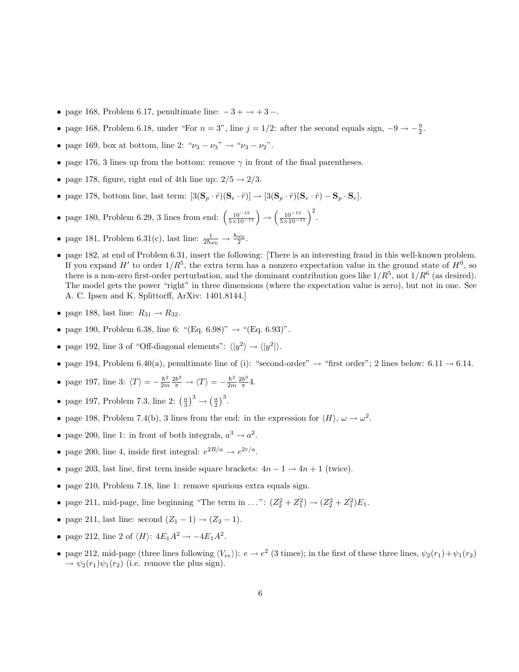- page 168, Problem 6.17, penultimate line:  $-3 + \rightarrow +3 -$ .
- page 168, Problem 6.18, under "For  $n = 3$ ", line  $j = 1/2$ : after the second equals sign,  $-9 \rightarrow -\frac{9}{2}$ .
- page 169, box at bottom, line 2: " $\nu_3 \nu_3$ " → " $\nu_3 \nu_2$ ".
- page 176, 3 lines up from the bottom: remove  $\gamma$  in front of the final parentheses.
- page 178, figure, right end of 4th line up:  $2/5 \rightarrow 2/3$ .
- page 178, bottom line, last term:  $[3(\mathbf{S}_p \cdot \hat{r})(\mathbf{S}_e \cdot \hat{r})] \rightarrow [3(\mathbf{S}_p \cdot \hat{r})(\mathbf{S}_e \cdot \hat{r}) \mathbf{S}_p \cdot \mathbf{S}_e]$ .
- page 180, Problem 6.29, 3 lines from end:  $\left(\frac{10^{-15}}{5 \times 10^{-11}}\right) \rightarrow \left(\frac{10^{-15}}{5 \times 10^{-11}}\right)^2$ .
- page 181, Problem 6.31(c), last line:  $\frac{1}{2\hbar\omega_0} \to \frac{\hbar\omega_0}{2}$ .
- page 182, at end of Problem 6.31, insert the following: [There is an interesting fraud in this well-known problem. If you expand H<sup>t</sup> to order  $1/R^5$ , the extra term has a nonzero expectation value in the ground state of  $H^0$ , so there is a non-zero first-order perturbation, and the dominant contribution goes like  $1/R^5$ , not  $1/R^6$  (as desired). The model gets the power "right" in three dimensions (where the expectation value is zero), but not in one. See A. C. Ipsen and K. Splittorff, ArXiv: 1401.8144.]
- page 188, last line:  $R_{31} \rightarrow R_{32}$ .
- page 190, Problem 6.38, line 6: "(Eq. 6.98)"  $\rightarrow$  "(Eq. 6.93)".
- page 192, line 3 of "Off-diagonal elements":  $\langle |y^2 \rangle \rightarrow \langle |y^2| \rangle$ .
- page 194, Problem 6.40(a), penultimate line of (i): "second-order"  $\rightarrow$  "first order"; 2 lines below: 6.11  $\rightarrow$  6.14.
- page 197, line 3:  $\langle T \rangle = -\frac{\hbar^2}{2m}$  $\frac{\hbar^2}{2m}\frac{2b^3}{\pi}\rightarrow \langle T\rangle = -\frac{\hbar^2}{2m}$  $rac{\hbar^2}{2m} \frac{2b^3}{\pi}$  $rac{b^3}{\pi}$ 4.
- page 197, Problem 7.3, line 2:  $\left(\frac{a}{3}\right)^3 \rightarrow \left(\frac{a}{2}\right)^3$ .
- page 198, Problem 7.4(b), 3 lines from the end: in the expression for  $\langle H \rangle$ ,  $\omega \to \omega^2$ .
- page 200, line 1: in front of both integrals,  $a^3 \rightarrow a^2$ .
- page 200, line 4, inside first integral:  $e^{2R/a} \rightarrow e^{2r/a}$ .
- page 203, last line, first term inside square brackets:  $4n 1 \rightarrow 4n + 1$  (twice).
- page 210, Problem 7.18, line 1: remove spurious extra equals sign.
- page 211, mid-page, line beginning "The term in ...":  $(Z_2^2 + Z_1^2) \rightarrow (Z_2^2 + Z_1^2)E_1$ .
- page 211, last line: second  $(Z_1 1) \rightarrow (Z_2 1)$ .
- page 212, line 2 of  $\langle H \rangle$ :  $4E_1A^2 \rightarrow -4E_1A^2$ .
- page 212, mid-page (three lines following  $\langle V_{ee} \rangle$ ):  $e \to e^2$  (3 times); in the first of these three lines,  $\psi_2(r_1) + \psi_1(r_2)$  $\rightarrow \psi_2(r_1)\psi_1(r_2)$  (i.e. remove the plus sign).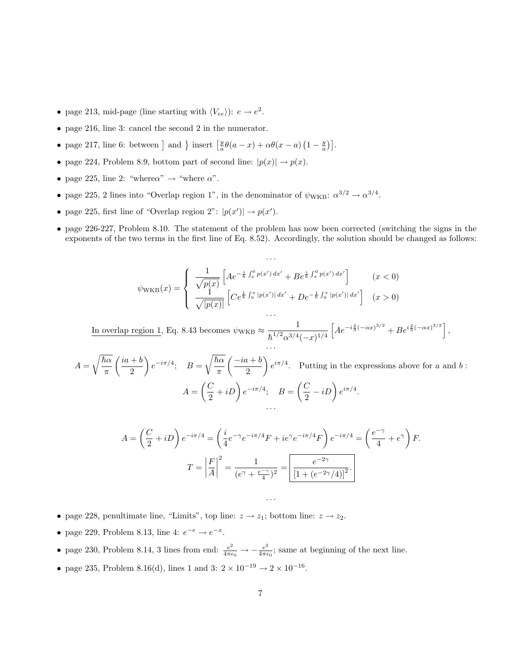- page 213, mid-page (line starting with  $\langle V_{ee} \rangle$ ):  $e \rightarrow e^2$ .
- page 216, line 3: cancel the second 2 in the numerator.
- page 217, line 6: between ] and } insert  $\left[\frac{y}{a}\theta(a-x)+\alpha\theta(x-a)\left(1-\frac{y}{a}\right)\right]$ .
- page 224, Problem 8.9, bottom part of second line:  $|p(x)| \rightarrow p(x)$ .
- page 225, line 2: "where $\alpha$ "  $\rightarrow$  "where  $\alpha$ ".
- page 225, 2 lines into "Overlap region 1", in the denominator of  $\psi_{\text{WKB}}: \alpha^{3/2} \to \alpha^{3/4}$ .
- page 225, first line of "Overlap region 2":  $|p(x')| \rightarrow p(x')$ .
- page 226-227, Problem 8.10. The statement of the problem has now been corrected (switching the signs in the exponents of the two terms in the first line of Eq. 8.52). Accordingly, the solution should be changed as follows:

$$
\psi_{\rm WKB}(x) = \begin{cases} \frac{1}{\sqrt{p(x)}} \left[ A e^{-\frac{i}{\hbar} \int_x^0 p(x') dx'} + B e^{\frac{i}{\hbar} \int_x^0 p(x') dx'} \right] & (x < 0) \\ \frac{1}{\sqrt{|p(x)|}} \left[ C e^{\frac{1}{\hbar} \int_0^x |p(x')| dx'} + D e^{-\frac{1}{\hbar} \int_0^x |p(x')| dx'} \right] & (x > 0) \\ \cdots & \cdots \end{cases}
$$

. . .

In overlap region 1, Eq. 8.43 becomes  $\psi_{\text{WKB}} \approx \frac{1}{12.2 \times 10^{-3}}$  $\hbar^{1/2} \alpha^{3/4} (-x)^{1/4}$  $\left[ Ae^{-i\frac{2}{3}(-\alpha x)^{3/2}} + Be^{i\frac{2}{3}(-\alpha x)^{3/2}} \right],$ . . .

 $A =$  $\sqrt{\hbar\alpha}$ π  $\int i\mathfrak{a} + \mathfrak{b}$ 2  $\Big\}\,e^{-i\pi/4};\quad B=$  $\sqrt{\hbar\alpha}$ π  $\int -ia + b$ 2  $\bigg\} e^{i\pi/4}$ . Putting in the expressions above for a and b:  $A = \left(\frac{C}{2}\right)$  $\left(\frac{C}{2}+iD\right)e^{-i\pi/4};\quad B=\left(\frac{C}{2}\right)$  $\left(\frac{C}{2}-iD\right)e^{i\pi/4}.$ . . .

$$
A = \left(\frac{C}{2} + iD\right)e^{-i\pi/4} = \left(\frac{i}{4}e^{-\gamma}e^{-i\pi/4}F + ie^{\gamma}e^{-i\pi/4}F\right)e^{-i\pi/4} = \left(\frac{e^{-\gamma}}{4} + e^{\gamma}\right)F.
$$

$$
T = \left|\frac{F}{A}\right|^2 = \frac{1}{(e^{\gamma} + \frac{e^{-\gamma}}{4})^2} = \boxed{\frac{e^{-2\gamma}}{[1 + (e^{-2\gamma}/4)]^2}}.
$$

. . .

- page 228, penultimate line, "Limits", top line:  $z \to z_1$ ; bottom line:  $z \to z_2$ .
- page 229, Problem 8.13, line 4:  $e^{-e} \rightarrow e^{-x}$ .
- page 230, Problem 8.14, 3 lines from end:  $\frac{e^2}{4\pi\epsilon_0} \rightarrow -\frac{e^2}{4\pi\epsilon_0}$  $\frac{e^2}{4\pi\epsilon_0}$ ; same at beginning of the next line.
- page 235, Problem 8.16(d), lines 1 and 3:  $2 \times 10^{-19} \rightarrow 2 \times 10^{-16}$ .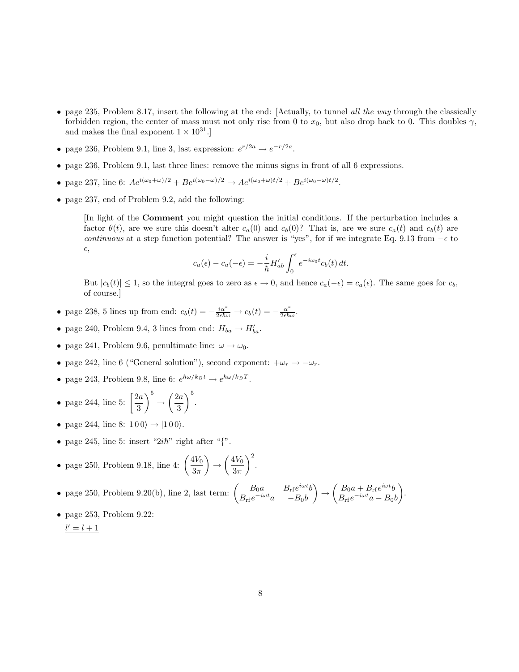- page 235, Problem 8.17, insert the following at the end: [Actually, to tunnel all the way through the classically forbidden region, the center of mass must not only rise from 0 to  $x_0$ , but also drop back to 0. This doubles  $\gamma$ , and makes the final exponent  $1 \times 10^{31}$ .
- page 236, Problem 9.1, line 3, last expression:  $e^{r/2a} \rightarrow e^{-r/2a}$ .
- page 236, Problem 9.1, last three lines: remove the minus signs in front of all 6 expressions.
- page 237, line 6:  $Ae^{i(\omega_0 + \omega)/2} + Be^{i(\omega_0 \omega)/2} \to Ae^{i(\omega_0 + \omega)t/2} + Be^{i(\omega_0 \omega)t/2}$ .
- page 237, end of Problem 9.2, add the following:

[In light of the Comment you might question the initial conditions. If the perturbation includes a factor  $\theta(t)$ , are we sure this doesn't alter  $c_a(0)$  and  $c_b(0)$ ? That is, are we sure  $c_a(t)$  and  $c_b(t)$  are continuous at a step function potential? The answer is "yes", for if we integrate Eq. 9.13 from  $-\epsilon$  to  $\epsilon,$ 

$$
c_a(\epsilon) - c_a(-\epsilon) = -\frac{i}{\hbar} H'_{ab} \int_0^{\epsilon} e^{-i\omega_0 t} c_b(t) dt.
$$

But  $|c_b(t)| \leq 1$ , so the integral goes to zero as  $\epsilon \to 0$ , and hence  $c_a(-\epsilon) = c_a(\epsilon)$ . The same goes for  $c_b$ , of course.]

- page 238, 5 lines up from end:  $c_b(t) = -\frac{i\alpha^*}{2\epsilon\hbar\omega} \to c_b(t) = -\frac{\alpha^*}{2\epsilon\hbar\omega}$  $\frac{\alpha^{\tau}}{2\epsilon\hbar\omega}.$
- page 240, Problem 9.4, 3 lines from end:  $H_{ba} \to H'_{ba}$ .
- page 241, Problem 9.6, penultimate line:  $\omega \rightarrow \omega_0$ .
- page 242, line 6 ("General solution"), second exponent:  $+\omega_r \rightarrow -\omega_r$ .
- page 243, Problem 9.8, line 6:  $e^{\hbar \omega / k_B t} \rightarrow e^{\hbar \omega / k_B T}$ .
- page 244, line 5:  $\left[\frac{2a}{a}\right]$ 3  $\bigg\}^5 \rightarrow \bigg(\frac{2a}{2}\bigg)$ 3  $\Big)^{5}$ .
- page 244, line 8:  $100\rangle \rightarrow |100\rangle$ .
- page 245, line 5: insert " $2i\hbar$ " right after "{".

• page 250, Problem 9.18, line 4: 
$$
\left(\frac{4V_0}{3\pi}\right) \rightarrow \left(\frac{4V_0}{3\pi}\right)^2
$$
.

- page 250, Problem 9.20(b), line 2, last term:  $\begin{pmatrix} B_0 a & B_{\rm rf} e^{i\omega t} b \\ B_1 e^{-i\omega t} & B_1 b \end{pmatrix}$  $B_{\rm rf}e^{-i\omega t}a = -B_0b$  $\bigg\} \rightarrow \bigg( \frac{B_0 a + B_{\rm rf} e^{i \omega t} b}{B_{\rm cl} - i \omega t} \bigg.$  $B_{\rm rf}e^{-i\omega t}a-B_0b$ .
- page 253, Problem 9.22:  $l' = l + 1$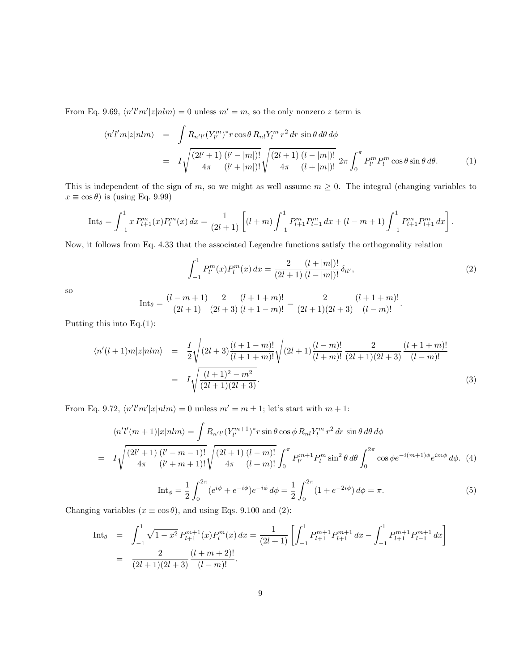From Eq. 9.69,  $\langle n'l'm'|z|nlm\rangle = 0$  unless  $m' = m$ , so the only nonzero z term is

$$
\langle n'l'm|z|nlm\rangle = \int R_{n'l'} (Y_{l'}^{m})^* r \cos\theta R_{nl} Y_l^m r^2 dr \sin\theta d\theta d\phi
$$
  
= 
$$
I \sqrt{\frac{(2l'+1)}{4\pi} \frac{(l'-|m|)!}{(l'+|m|)!}} \sqrt{\frac{(2l+1)}{4\pi} \frac{(l-|m|)!}{(l+|m|)!}} 2\pi \int_0^{\pi} P_{l'}^{m} P_l^m \cos\theta \sin\theta d\theta.
$$
 (1)

This is independent of the sign of m, so we might as well assume  $m \geq 0$ . The integral (changing variables to  $x \equiv \cos \theta$ ) is (using Eq. 9.99)

$$
\text{Int}_{\theta} = \int_{-1}^{1} x P_{l+1}^{m}(x) P_{l}^{m}(x) dx = \frac{1}{(2l+1)} \left[ (l+m) \int_{-1}^{1} P_{l+1}^{m} P_{l-1}^{m} dx + (l-m+1) \int_{-1}^{1} P_{l+1}^{m} P_{l+1}^{m} dx \right].
$$

Now, it follows from Eq. 4.33 that the associated Legendre functions satisfy the orthogonality relation

$$
\int_{-1}^{1} P_{l'}^{m}(x) P_{l}^{m}(x) dx = \frac{2}{(2l+1)} \frac{(l+|m|)!}{(l-|m|)!} \delta_{ll'},
$$
\n(2)

so

Int<sub>$$
\theta
$$</sub> =  $\frac{(l-m+1)}{(2l+1)} \frac{2}{(2l+3)} \frac{(l+1+m)!}{(l+1-m)!} = \frac{2}{(2l+1)(2l+3)} \frac{(l+1+m)!}{(l-m)!}.$ 

Putting this into Eq.(1):

$$
\langle n'(l+1)m|z|nlm\rangle = \frac{I}{2}\sqrt{(2l+3)\frac{(l+1-m)!}{(l+1+m)!}}\sqrt{(2l+1)\frac{(l-m)!}{(l+m)!}}\frac{2}{(2l+1)(2l+3)}\frac{(l+1+m)!}{(l-m)!}
$$
  
=  $I\sqrt{\frac{(l+1)^2 - m^2}{(2l+1)(2l+3)}}.$  (3)

From Eq. 9.72,  $\langle n'l'm'|x|nlm\rangle = 0$  unless  $m' = m \pm 1$ ; let's start with  $m + 1$ :

$$
\langle n'l'(m+1)|x|nlm\rangle = \int R_{n'l'}(Y_{l'}^{m+1})^* r \sin\theta \cos\phi R_{nl}Y_l^m r^2 dr \sin\theta d\theta d\phi
$$
  
=  $I \sqrt{\frac{(2l'+1)}{4\pi} \frac{(l'-m-1)!}{(l'+m+1)!}} \sqrt{\frac{(2l+1)}{4\pi} \frac{(l-m)!}{(l+m)!}} \int_0^{\pi} P_{l'}^{m+1} P_l^m \sin^2\theta d\theta \int_0^{2\pi} \cos\phi e^{-i(m+1)\phi} e^{im\phi} d\phi.$  (4)

$$
\text{Int}_{\phi} = \frac{1}{2} \int_0^{2\pi} (e^{i\phi} + e^{-i\phi}) e^{-i\phi} d\phi = \frac{1}{2} \int_0^{2\pi} (1 + e^{-2i\phi}) d\phi = \pi.
$$
 (5)

Changing variables ( $x \equiv \cos \theta$ ), and using Eqs. 9.100 and (2):

$$
\begin{array}{rcl}\n\text{Int}_{\theta} & = & \int_{-1}^{1} \sqrt{1 - x^2} \, P_{l+1}^{m+1}(x) P_l^m(x) \, dx = \frac{1}{(2l+1)} \left[ \int_{-1}^{1} P_{l+1}^{m+1} P_{l+1}^{m+1} \, dx - \int_{-1}^{1} P_{l+1}^{m+1} P_{l-1}^{m+1} \, dx \right] \\
& = & \frac{2}{(2l+1)(2l+3)} \frac{(l+m+2)!}{(l-m)!}.\n\end{array}
$$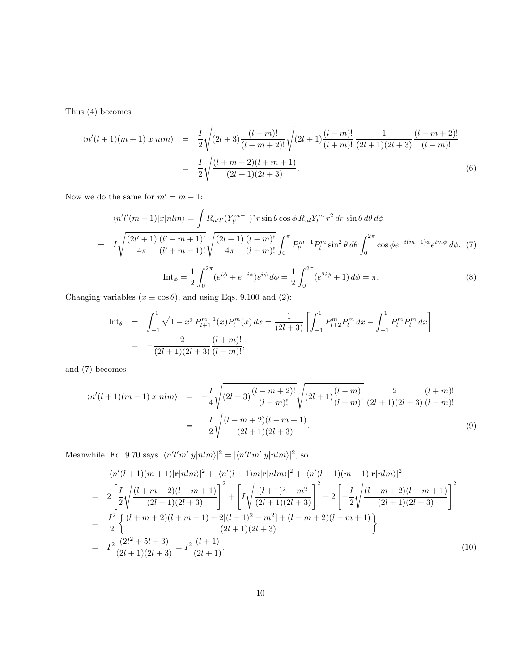Thus (4) becomes

$$
\langle n'(l+1)(m+1)|x|nlm\rangle = \frac{I}{2}\sqrt{(2l+3)\frac{(l-m)!}{(l+m+2)!}}\sqrt{(2l+1)\frac{(l-m)!}{(l+m)!}}\frac{1}{(2l+1)(2l+3)}\frac{(l+m+2)!}{(l-m)!}
$$

$$
= \frac{I}{2}\sqrt{\frac{(l+m+2)(l+m+1)}{(2l+1)(2l+3)}}.
$$
(6)

Now we do the same for  $m' = m - 1$ :

$$
\langle n'l'(m-1)|x|nlm\rangle = \int R_{n'l'} (Y_{l'}^{m-1})^* r \sin \theta \cos \phi R_{nl} Y_l^m r^2 dr \sin \theta d\theta d\phi
$$
  
=  $I \sqrt{\frac{(2l'+1)}{4\pi} \frac{(l'-m+1)!}{(l'+m-1)!}} \sqrt{\frac{(2l+1)}{4\pi} \frac{(l-m)!}{(l+m)!}} \int_0^{\pi} P_{l'}^{m-1} P_l^m \sin^2 \theta d\theta \int_0^{2\pi} \cos \phi e^{-i(m-1)\phi} e^{im\phi} d\phi. (7)$ 

$$
\text{Int}_{\phi} = \frac{1}{2} \int_0^{2\pi} (e^{i\phi} + e^{-i\phi}) e^{i\phi} d\phi = \frac{1}{2} \int_0^{2\pi} (e^{2i\phi} + 1) d\phi = \pi.
$$
 (8)

Changing variables ( $x \equiv \cos \theta$ ), and using Eqs. 9.100 and (2):

$$
\begin{array}{rcl}\n\text{Int}_{\theta} & = & \int_{-1}^{1} \sqrt{1 - x^2} \, P_{l+1}^{m-1}(x) P_l^m(x) \, dx = \frac{1}{(2l+3)} \left[ \int_{-1}^{1} P_{l+2}^m P_l^m \, dx - \int_{-1}^{1} P_l^m P_l^m \, dx \right] \\
& = & -\frac{2}{(2l+1)(2l+3)} \frac{(l+m)!}{(l-m)!},\n\end{array}
$$

and (7) becomes

$$
\langle n'(l+1)(m-1)|x|nlm\rangle = -\frac{I}{4}\sqrt{(2l+3)\frac{(l-m+2)!}{(l+m)!}}\sqrt{(2l+1)\frac{(l-m)!}{(l+m)!}}\frac{2}{(2l+1)(2l+3)}\frac{(l+m)!}{(l-m)!}
$$
  

$$
= -\frac{I}{2}\sqrt{\frac{(l-m+2)(l-m+1)}{(2l+1)(2l+3)}}.
$$
 (9)

Meanwhile, Eq. 9.70 says  $|\langle n'l'm'|y|nlm\rangle|^2 = |\langle n'l'm'|y|nlm\rangle|^2$ , so

$$
\begin{split}\n&|\langle n'(l+1)(m+1)|\mathbf{r}|nlm\rangle|^2 + |\langle n'(l+1)m|\mathbf{r}|nlm\rangle|^2 + |\langle n'(l+1)(m-1)|\mathbf{r}|nlm\rangle|^2 \\
&= 2\left[\frac{I}{2}\sqrt{\frac{(l+m+2)(l+m+1)}{(2l+1)(2l+3)}}\right]^2 + \left[I\sqrt{\frac{(l+1)^2 - m^2}{(2l+1)(2l+3)}}\right]^2 + 2\left[-\frac{I}{2}\sqrt{\frac{(l-m+2)(l-m+1)}{(2l+1)(2l+3)}}\right]^2 \\
&= \frac{I^2}{2}\left\{\frac{(l+m+2)(l+m+1) + 2[(l+1)^2 - m^2] + (l-m+2)(l-m+1)}{(2l+1)(2l+3)}\right\} \\
&= I^2\frac{(2l^2+5l+3)}{(2l+1)(2l+3)} = I^2\frac{(l+1)}{(2l+1)}.\n\end{split} \tag{10}
$$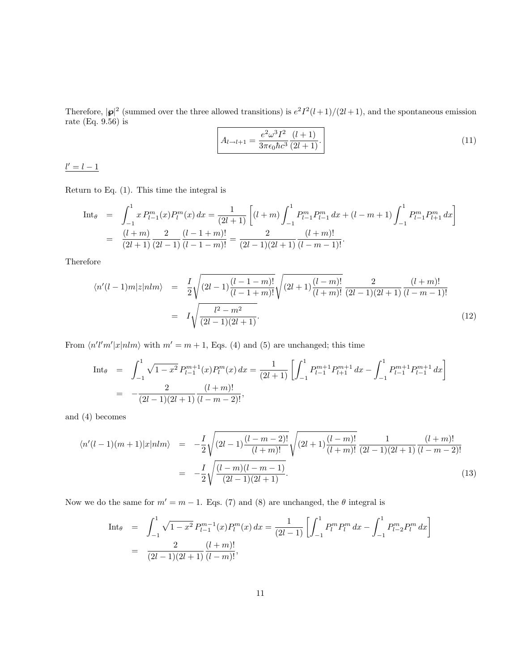Therefore,  $|\mathbf{p}|^2$  (summed over the three allowed transitions) is  $e^2I^2(l+1)/(2l+1)$ , and the spontaneous emission rate (Eq. 9.56) is

$$
A_{l \to l+1} = \frac{e^2 \omega^3 I^2}{3\pi \epsilon_0 \hbar c^3} \frac{(l+1)}{(2l+1)}.
$$
\n(11)

 $l' = l - 1$ 

Return to Eq. (1). This time the integral is

$$
\begin{array}{rcl}\n\text{Int}_{\theta} & = & \int_{-1}^{1} x P_{l-1}^{m}(x) P_{l}^{m}(x) \, dx = \frac{1}{(2l+1)} \left[ (l+m) \int_{-1}^{1} P_{l-1}^{m} P_{l-1}^{m} \, dx + (l-m+1) \int_{-1}^{1} P_{l-1}^{m} P_{l+1}^{m} \, dx \right] \\
& = & \frac{(l+m)}{(2l+1)} \frac{2}{(2l-1)} \frac{(l-1+m)!}{(l-1-m)!} = \frac{2}{(2l-1)(2l+1)} \frac{(l+m)!}{(l-m-1)!}.\n\end{array}
$$

Therefore

$$
\langle n'(l-1)m|z|nlm\rangle = \frac{I}{2}\sqrt{(2l-1)\frac{(l-1-m)!}{(l-1+m)!}}\sqrt{(2l+1)\frac{(l-m)!}{(l+m)!}}\frac{2}{(2l-1)(2l+1)}\frac{(l+m)!}{(l-m-1)!}
$$
  
=  $I\sqrt{\frac{l^2-m^2}{(2l-1)(2l+1)}}.$  (12)

From  $\langle n'l'm'|x|nlm\rangle$  with  $m'=m+1$ , Eqs. (4) and (5) are unchanged; this time

$$
\begin{array}{rcl}\n\text{Int}_{\theta} & = & \int_{-1}^{1} \sqrt{1 - x^2} \, P_{l-1}^{m+1}(x) P_l^m(x) \, dx = \frac{1}{(2l+1)} \left[ \int_{-1}^{1} P_{l-1}^{m+1} P_{l+1}^{m+1} \, dx - \int_{-1}^{1} P_{l-1}^{m+1} P_{l-1}^{m+1} \, dx \right] \\
& = & -\frac{2}{(2l-1)(2l+1)} \frac{(l+m)!}{(l-m-2)!},\n\end{array}
$$

and (4) becomes

$$
\langle n'(l-1)(m+1)|x|nlm\rangle = -\frac{I}{2}\sqrt{(2l-1)\frac{(l-m-2)!}{(l+m)!}}\sqrt{(2l+1)\frac{(l-m)!}{(l+m)!}}\frac{1}{(2l-1)(2l+1)}\frac{(l+m)!}{(l-m-2)!}
$$

$$
= -\frac{I}{2}\sqrt{\frac{(l-m)(l-m-1)}{(2l-1)(2l+1)}}.
$$
(13)

Now we do the same for  $m' = m - 1$ . Eqs. (7) and (8) are unchanged, the  $\theta$  integral is

$$
\begin{array}{rcl}\n\text{Int}_{\theta} & = & \int_{-1}^{1} \sqrt{1 - x^2} \, P_{l-1}^{m-1}(x) P_l^m(x) \, dx = \frac{1}{(2l-1)} \left[ \int_{-1}^{1} P_l^m P_l^m \, dx - \int_{-1}^{1} P_{l-2}^m P_l^m \, dx \right] \\
& = & \frac{2}{(2l-1)(2l+1)} \frac{(l+m)!}{(l-m)!},\n\end{array}
$$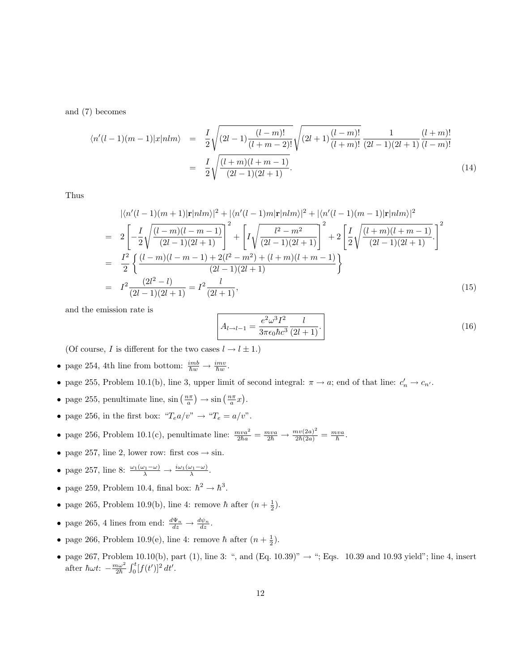and (7) becomes

$$
\langle n'(l-1)(m-1)|x|nlm\rangle = \frac{I}{2}\sqrt{(2l-1)\frac{(l-m)!}{(l+m-2)!}}\sqrt{(2l+1)\frac{(l-m)!}{(l+m)!}}\frac{1}{(2l-1)(2l+1)}\frac{(l+m)!}{(l-m)!}
$$

$$
= \frac{I}{2}\sqrt{\frac{(l+m)(l+m-1)}{(2l-1)(2l+1)}}.
$$
(14)

Thus

$$
\begin{split}\n&|\langle n'(l-1)(m+1)|\mathbf{r}|nlm\rangle|^2 + |\langle n'(l-1)m|\mathbf{r}|nlm\rangle|^2 + |\langle n'(l-1)(m-1)|\mathbf{r}|nlm\rangle|^2 \\
&= 2\left[-\frac{I}{2}\sqrt{\frac{(l-m)(l-m-1)}{(2l-1)(2l+1)}}\right]^2 + \left[I\sqrt{\frac{l^2-m^2}{(2l-1)(2l+1)}}\right]^2 + 2\left[\frac{I}{2}\sqrt{\frac{(l+m)(l+m-1)}{(2l-1)(2l+1)}}\right]^2 \\
&= \frac{I^2}{2}\left\{\frac{(l-m)(l-m-1)+2(l^2-m^2)+(l+m)(l+m-1)}{(2l-1)(2l+1)}\right\} \\
&= I^2\frac{(2l^2-l)}{(2l-1)(2l+1)} = I^2\frac{l}{(2l+1)},\n\end{split} \tag{15}
$$

and the emission rate is

$$
A_{l \to l-1} = \frac{e^2 \omega^3 I^2}{3\pi \epsilon_0 \hbar c^3} \frac{l}{(2l+1)}.
$$
 (16)

(Of course,  $I$  is different for the two cases  $l \rightarrow l \pm 1.)$ 

- page 254, 4th line from bottom:  $\frac{imb}{\hbar w} \to \frac{imv}{\hbar w}$ .
- page 255, Problem 10.1(b), line 3, upper limit of second integral:  $\pi \to a$ ; end of that line:  $c'_n \to c_{n'}$ .
- page 255, penultimate line,  $\sin\left(\frac{n\pi}{a}\right) \to \sin\left(\frac{n\pi}{a}x\right)$ .
- page 256, in the first box: " $T_e a/v$ "  $\rightarrow$  " $T_e = a/v$ ".
- page 256, Problem 10.1(c), penultimate line:  $\frac{mva^2}{2\hbar a} = \frac{mva}{2\hbar} \rightarrow \frac{m\upsilon(2a)^2}{2\hbar(2a)} = \frac{mva}{\hbar}$ .
- page 257, line 2, lower row: first  $\cos \rightarrow \sin$ .
- page 257, line 8:  $\frac{\omega_1(\omega_1-\omega)}{\lambda} \to \frac{i\omega_1(\omega_1-\omega)}{\lambda}$ .
- page 259, Problem 10.4, final box:  $\hbar^2 \rightarrow \hbar^3$ .
- page 265, Problem 10.9(b), line 4: remove  $\hbar$  after  $(n + \frac{1}{2})$ .
- page 265, 4 lines from end:  $\frac{d\Psi_n}{dz} \to \frac{d\psi_n}{dz}$ .
- page 266, Problem 10.9(e), line 4: remove  $\hbar$  after  $(n + \frac{1}{2})$ .
- page 267, Problem 10.10(b), part (1), line 3: ", and (Eq. 10.39)"  $\rightarrow$  "; Eqs. 10.39 and 10.93 yield"; line 4, insert after  $\hbar \omega t$ :  $-\frac{m\omega^2}{2\hbar} \int_0^t [f(t')]^2 dt'$ .